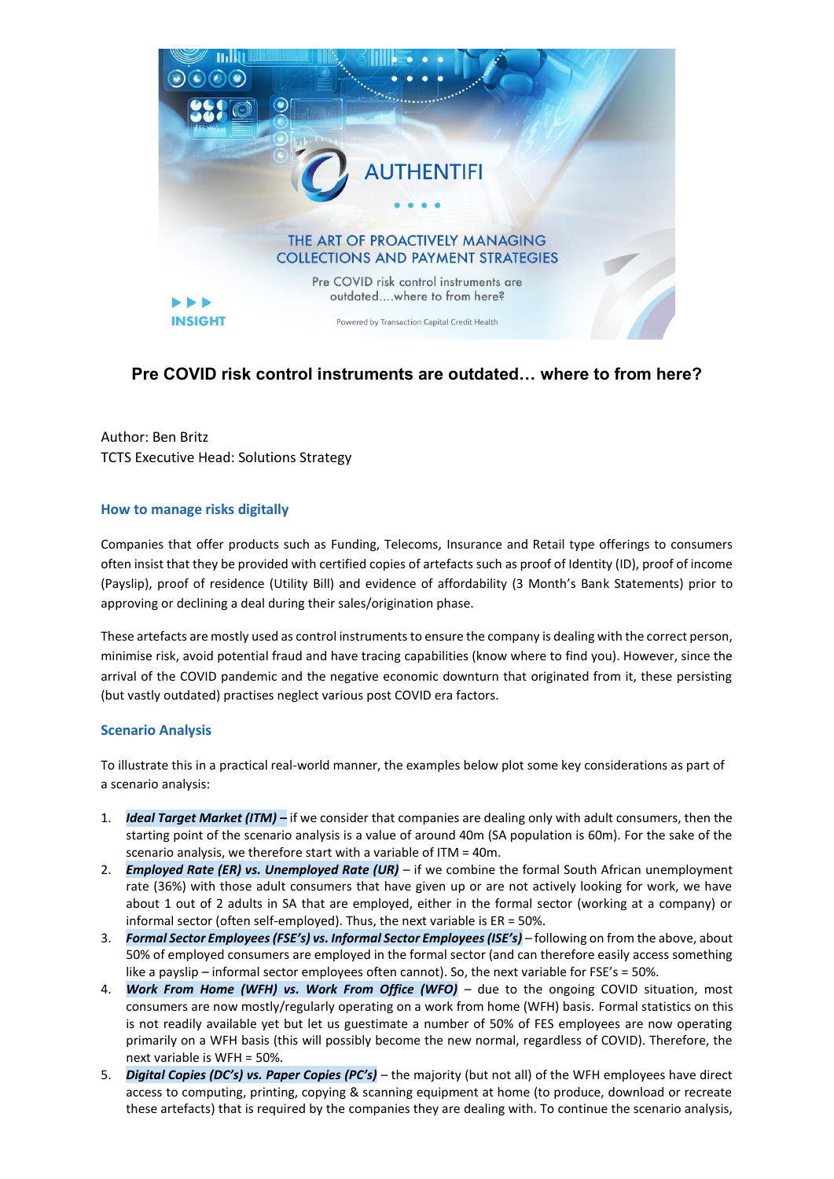

# **Pre COVID risk control instruments are outdated… where to from here?**

Author: Ben Britz TCTS Executive Head: Solutions Strategy

# **How to manage risks digitally**

Companies that offer products such as Funding, Telecoms, Insurance and Retail type offerings to consumers often insist that they be provided with certified copies of artefacts such as proof of Identity (ID), proof of income (Payslip), proof of residence (Utility Bill) and evidence of affordability (3 Month's Bank Statements) prior to approving or declining a deal during their sales/origination phase.

These artefacts are mostly used as control instruments to ensure the company is dealing with the correct person, minimise risk, avoid potential fraud and have tracing capabilities (know where to find you). However, since the arrival of the COVID pandemic and the negative economic downturn that originated from it, these persisting (but vastly outdated) practises neglect various post COVID era factors.

# **Scenario Analysis**

To illustrate this in a practical real-world manner, the examples below plot some key considerations as part of a scenario analysis:

- 1. *Ideal Target Market (ITM) –* if we consider that companies are dealing only with adult consumers, then the starting point of the scenario analysis is a value of around 40m (SA population is 60m). For the sake of the scenario analysis, we therefore start with a variable of ITM = 40m.
- 2. *Employed Rate (ER) vs. Unemployed Rate (UR)* if we combine the formal South African unemployment rate (36%) with those adult consumers that have given up or are not actively looking for work, we have about 1 out of 2 adults in SA that are employed, either in the formal sector (working at a company) or informal sector (often self-employed). Thus, the next variable is ER = 50%.
- 3. *Formal Sector Employees (FSE's) vs. Informal Sector Employees (ISE's)* following on from the above, about 50% of employed consumers are employed in the formal sector (and can therefore easily access something like a payslip – informal sector employees often cannot). So, the next variable for FSE's = 50%.
- 4. *Work From Home (WFH) vs. Work From Office (WFO)* due to the ongoing COVID situation, most consumers are now mostly/regularly operating on a work from home (WFH) basis. Formal statistics on this is not readily available yet but let us guestimate a number of 50% of FES employees are now operating primarily on a WFH basis (this will possibly become the new normal, regardless of COVID). Therefore, the next variable is WFH = 50%.
- 5. *Digital Copies (DC's) vs. Paper Copies (PC's)* the majority (but not all) of the WFH employees have direct access to computing, printing, copying & scanning equipment at home (to produce, download or recreate these artefacts) that is required by the companies they are dealing with. To continue the scenario analysis,